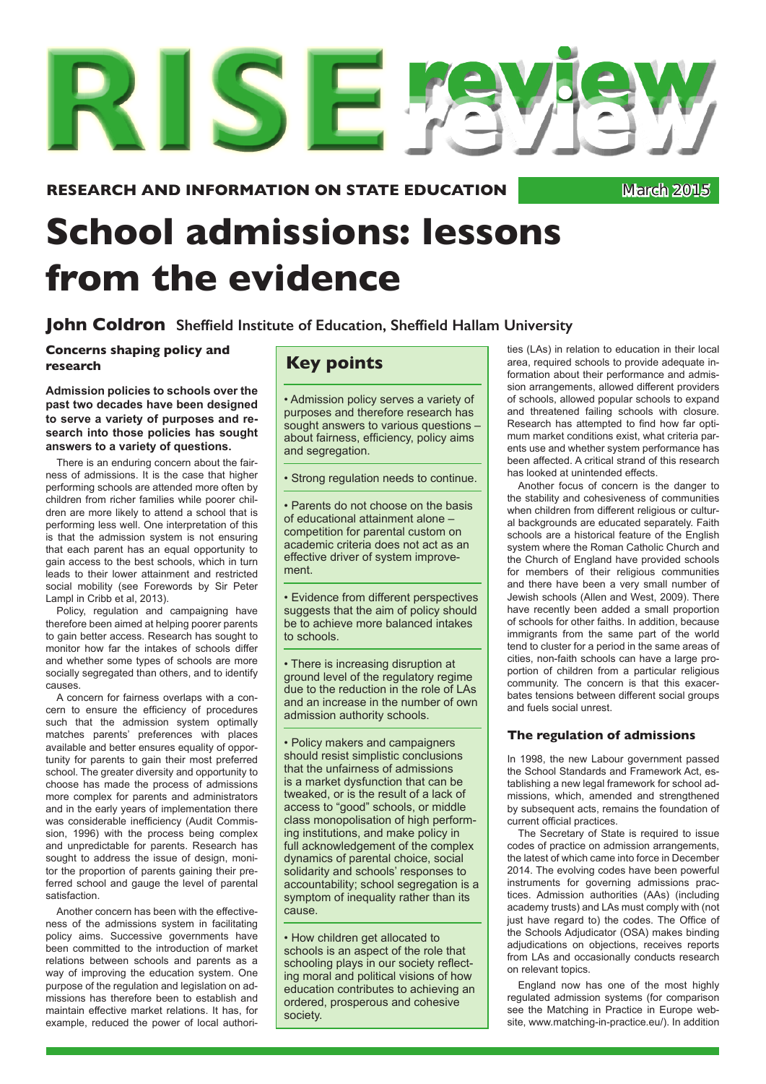# **School admissions: lessons from the evidence**

**John Coldron Sheffield Institute of Education, Sheffield Hallam University**

**Concerns shaping policy and research**

**Admission policies to schools over the past two decades have been designed to serve a variety of purposes and research into those policies has sought answers to a variety of questions.**

There is an enduring concern about the fairness of admissions. It is the case that higher performing schools are attended more often by children from richer families while poorer children are more likely to attend a school that is performing less well. One interpretation of this is that the admission system is not ensuring that each parent has an equal opportunity to gain access to the best schools, which in turn leads to their lower attainment and restricted social mobility (see Forewords by Sir Peter Lampl in Cribb et al, 2013).

Policy, regulation and campaigning have therefore been aimed at helping poorer parents to gain better access. Research has sought to monitor how far the intakes of schools differ and whether some types of schools are more socially segregated than others, and to identify causes.

A concern for fairness overlaps with a concern to ensure the efficiency of procedures such that the admission system optimally matches parents' preferences with places available and better ensures equality of opportunity for parents to gain their most preferred school. The greater diversity and opportunity to choose has made the process of admissions more complex for parents and administrators and in the early years of implementation there was considerable inefficiency (Audit Commission, 1996) with the process being complex and unpredictable for parents. Research has sought to address the issue of design, monitor the proportion of parents gaining their preferred school and gauge the level of parental satisfaction.

Another concern has been with the effectiveness of the admissions system in facilitating policy aims. Successive governments have been committed to the introduction of market relations between schools and parents as a way of improving the education system. One purpose of the regulation and legislation on admissions has therefore been to establish and maintain effective market relations. It has, for example, reduced the power of local authori-

# **Key points**

• Admission policy serves a variety of purposes and therefore research has sought answers to various questions – about fairness, efficiency, policy aims and segregation.

• Strong regulation needs to continue.

• Parents do not choose on the basis of educational attainment alone – competition for parental custom on academic criteria does not act as an effective driver of system improvement.

• Evidence from different perspectives suggests that the aim of policy should be to achieve more balanced intakes to schools.

• There is increasing disruption at ground level of the regulatory regime due to the reduction in the role of LAs and an increase in the number of own admission authority schools.

• Policy makers and campaigners should resist simplistic conclusions that the unfairness of admissions is a market dysfunction that can be tweaked, or is the result of a lack of access to "good" schools, or middle class monopolisation of high performing institutions, and make policy in full acknowledgement of the complex dynamics of parental choice, social solidarity and schools' responses to accountability; school segregation is a symptom of inequality rather than its cause.

• How children get allocated to schools is an aspect of the role that schooling plays in our society reflecting moral and political visions of how education contributes to achieving an ordered, prosperous and cohesive society.

ties (LAs) in relation to education in their local area, required schools to provide adequate information about their performance and admission arrangements, allowed different providers of schools, allowed popular schools to expand and threatened failing schools with closure. Research has attempted to find how far optimum market conditions exist, what criteria parents use and whether system performance has been affected. A critical strand of this research has looked at unintended effects.

Another focus of concern is the danger to the stability and cohesiveness of communities when children from different religious or cultural backgrounds are educated separately. Faith schools are a historical feature of the English system where the Roman Catholic Church and the Church of England have provided schools for members of their religious communities and there have been a very small number of Jewish schools (Allen and West, 2009). There have recently been added a small proportion of schools for other faiths. In addition, because immigrants from the same part of the world tend to cluster for a period in the same areas of cities, non-faith schools can have a large proportion of children from a particular religious community. The concern is that this exacerbates tensions between different social groups and fuels social unrest.

### **The regulation of admissions**

In 1998, the new Labour government passed the School Standards and Framework Act, establishing a new legal framework for school admissions, which, amended and strengthened by subsequent acts, remains the foundation of current official practices.

The Secretary of State is required to issue codes of practice on admission arrangements, the latest of which came into force in December 2014. The evolving codes have been powerful instruments for governing admissions practices. Admission authorities (AAs) (including academy trusts) and LAs must comply with (not just have regard to) the codes. The Office of the Schools Adjudicator (OSA) makes binding adjudications on objections, receives reports from LAs and occasionally conducts research on relevant topics.

England now has one of the most highly regulated admission systems (for comparison see the Matching in Practice in Europe website, www.matching-in-practice.eu/). In addition

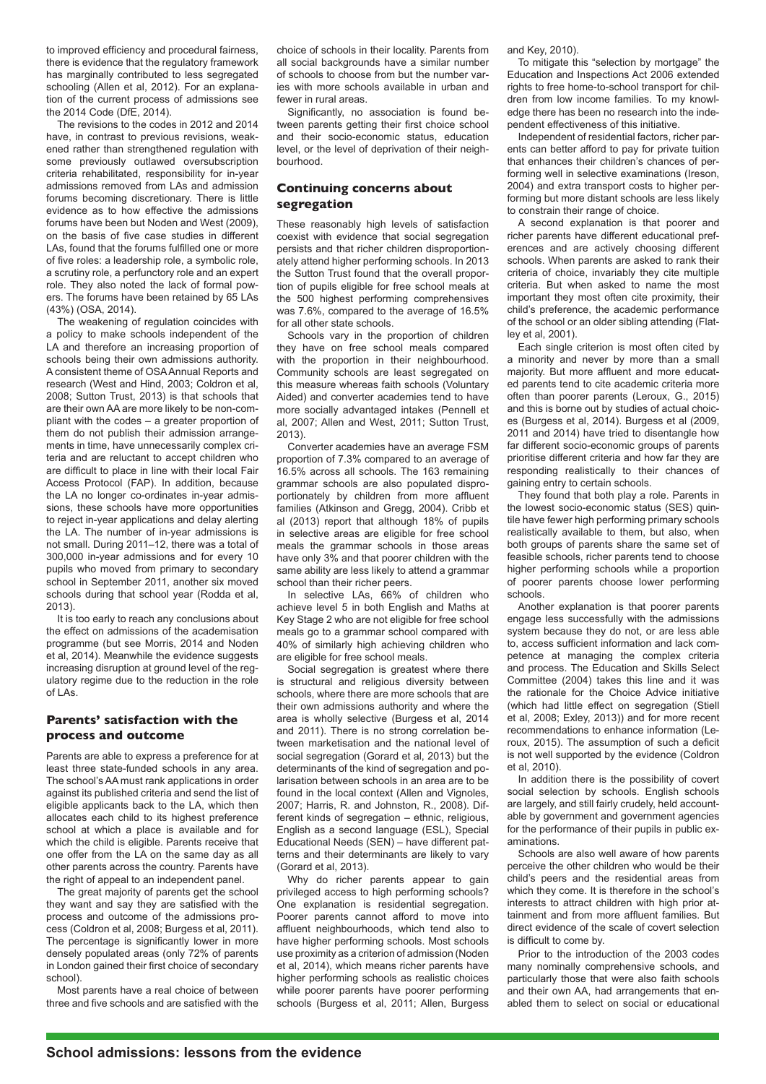to improved efficiency and procedural fairness, there is evidence that the regulatory framework has marginally contributed to less segregated schooling (Allen et al, 2012). For an explanation of the current process of admissions see the 2014 Code (DfE, 2014).

The revisions to the codes in 2012 and 2014 have, in contrast to previous revisions, weakened rather than strengthened regulation with some previously outlawed oversubscription criteria rehabilitated, responsibility for in-year admissions removed from LAs and admission forums becoming discretionary. There is little evidence as to how effective the admissions forums have been but Noden and West (2009), on the basis of five case studies in different LAs, found that the forums fulfilled one or more of five roles: a leadership role, a symbolic role, a scrutiny role, a perfunctory role and an expert role. They also noted the lack of formal powers. The forums have been retained by 65 LAs (43%) (OSA, 2014).

The weakening of regulation coincides with a policy to make schools independent of the LA and therefore an increasing proportion of schools being their own admissions authority. A consistent theme of OSA Annual Reports and research (West and Hind, 2003; Coldron et al, 2008; Sutton Trust, 2013) is that schools that are their own AA are more likely to be non-compliant with the codes – a greater proportion of them do not publish their admission arrangements in time, have unnecessarily complex criteria and are reluctant to accept children who are difficult to place in line with their local Fair Access Protocol (FAP). In addition, because the LA no longer co-ordinates in-year admissions, these schools have more opportunities to reject in-year applications and delay alerting the LA. The number of in-year admissions is not small. During 2011–12, there was a total of 300,000 in-year admissions and for every 10 pupils who moved from primary to secondary school in September 2011, another six moved schools during that school year (Rodda et al, 2013).

It is too early to reach any conclusions about the effect on admissions of the academisation programme (but see Morris, 2014 and Noden et al, 2014). Meanwhile the evidence suggests increasing disruption at ground level of the regulatory regime due to the reduction in the role of LAs.

# **Parents' satisfaction with the process and outcome**

Parents are able to express a preference for at least three state-funded schools in any area. The school's AA must rank applications in order against its published criteria and send the list of eligible applicants back to the LA, which then allocates each child to its highest preference school at which a place is available and for which the child is eligible. Parents receive that one offer from the LA on the same day as all other parents across the country. Parents have the right of appeal to an independent panel.

The great majority of parents get the school they want and say they are satisfied with the process and outcome of the admissions process (Coldron et al, 2008; Burgess et al, 2011). The percentage is significantly lower in more densely populated areas (only 72% of parents in London gained their first choice of secondary school).

Most parents have a real choice of between three and five schools and are satisfied with the

choice of schools in their locality. Parents from all social backgrounds have a similar number of schools to choose from but the number varies with more schools available in urban and fewer in rural areas.

Significantly, no association is found between parents getting their first choice school and their socio-economic status, education level, or the level of deprivation of their neighbourhood.

# **Continuing concerns about segregation**

These reasonably high levels of satisfaction coexist with evidence that social segregation persists and that richer children disproportionately attend higher performing schools. In 2013 the Sutton Trust found that the overall proportion of pupils eligible for free school meals at the 500 highest performing comprehensives was 7.6%, compared to the average of 16.5% for all other state schools.

Schools vary in the proportion of children they have on free school meals compared with the proportion in their neighbourhood. Community schools are least segregated on this measure whereas faith schools (Voluntary Aided) and converter academies tend to have more socially advantaged intakes (Pennell et al, 2007; Allen and West, 2011; Sutton Trust, 2013).

Converter academies have an average FSM proportion of 7.3% compared to an average of 16.5% across all schools. The 163 remaining grammar schools are also populated disproportionately by children from more affluent families (Atkinson and Gregg, 2004). Cribb et al (2013) report that although 18% of pupils in selective areas are eligible for free school meals the grammar schools in those areas have only 3% and that poorer children with the same ability are less likely to attend a grammar school than their richer peers.

In selective LAs, 66% of children who achieve level 5 in both English and Maths at Key Stage 2 who are not eligible for free school meals go to a grammar school compared with 40% of similarly high achieving children who are eligible for free school meals.

Social segregation is greatest where there is structural and religious diversity between schools, where there are more schools that are their own admissions authority and where the area is wholly selective (Burgess et al, 2014 and 2011). There is no strong correlation between marketisation and the national level of social segregation (Gorard et al, 2013) but the determinants of the kind of segregation and polarisation between schools in an area are to be found in the local context (Allen and Vignoles, 2007; Harris, R. and Johnston, R., 2008). Different kinds of segregation – ethnic, religious, English as a second language (ESL), Special Educational Needs (SEN) – have different patterns and their determinants are likely to vary (Gorard et al, 2013).

Why do richer parents appear to gain privileged access to high performing schools? One explanation is residential segregation. Poorer parents cannot afford to move into affluent neighbourhoods, which tend also to have higher performing schools. Most schools use proximity as a criterion of admission (Noden et al, 2014), which means richer parents have higher performing schools as realistic choices while poorer parents have poorer performing schools (Burgess et al, 2011; Allen, Burgess

and Key, 2010).

To mitigate this "selection by mortgage" the Education and Inspections Act 2006 extended rights to free home-to-school transport for children from low income families. To my knowledge there has been no research into the independent effectiveness of this initiative.

Independent of residential factors, richer parents can better afford to pay for private tuition that enhances their children's chances of performing well in selective examinations (Ireson, 2004) and extra transport costs to higher performing but more distant schools are less likely to constrain their range of choice.

A second explanation is that poorer and richer parents have different educational preferences and are actively choosing different schools. When parents are asked to rank their criteria of choice, invariably they cite multiple criteria. But when asked to name the most important they most often cite proximity, their child's preference, the academic performance of the school or an older sibling attending (Flatley et al, 2001).

Each single criterion is most often cited by a minority and never by more than a small majority. But more affluent and more educated parents tend to cite academic criteria more often than poorer parents (Leroux, G., 2015) and this is borne out by studies of actual choices (Burgess et al, 2014). Burgess et al (2009, 2011 and 2014) have tried to disentangle how far different socio-economic groups of parents prioritise different criteria and how far they are responding realistically to their chances of gaining entry to certain schools.

They found that both play a role. Parents in the lowest socio-economic status (SES) quintile have fewer high performing primary schools realistically available to them, but also, when both groups of parents share the same set of feasible schools, richer parents tend to choose higher performing schools while a proportion of poorer parents choose lower performing schools.

Another explanation is that poorer parents engage less successfully with the admissions system because they do not, or are less able to, access sufficient information and lack competence at managing the complex criteria and process. The Education and Skills Select Committee (2004) takes this line and it was the rationale for the Choice Advice initiative (which had little effect on segregation (Stiell et al, 2008; Exley, 2013)) and for more recent recommendations to enhance information (Leroux, 2015). The assumption of such a deficit is not well supported by the evidence (Coldron et al, 2010).

In addition there is the possibility of covert social selection by schools. English schools are largely, and still fairly crudely, held accountable by government and government agencies for the performance of their pupils in public examinations.

Schools are also well aware of how parents perceive the other children who would be their child's peers and the residential areas from which they come. It is therefore in the school's interests to attract children with high prior attainment and from more affluent families. But direct evidence of the scale of covert selection is difficult to come by.

Prior to the introduction of the 2003 codes many nominally comprehensive schools, and particularly those that were also faith schools and their own AA, had arrangements that enabled them to select on social or educational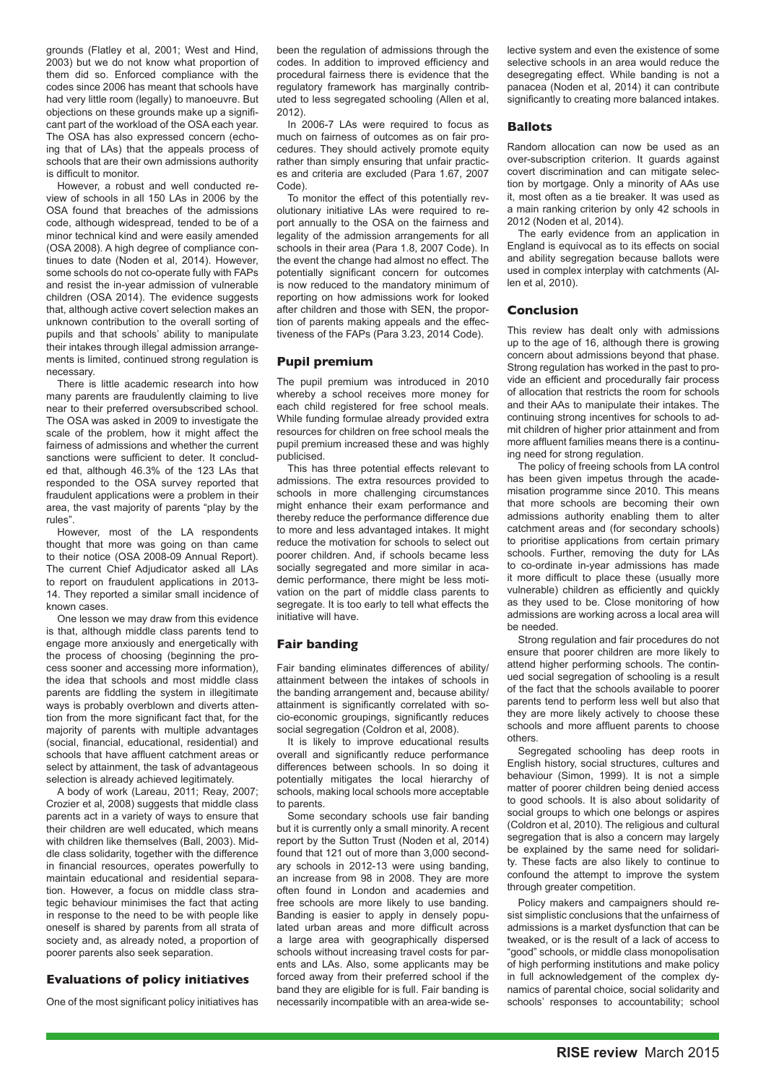grounds (Flatley et al, 2001; West and Hind, 2003) but we do not know what proportion of them did so. Enforced compliance with the codes since 2006 has meant that schools have had very little room (legally) to manoeuvre. But objections on these grounds make up a significant part of the workload of the OSA each year. The OSA has also expressed concern (echoing that of LAs) that the appeals process of schools that are their own admissions authority is difficult to monitor.

However, a robust and well conducted review of schools in all 150 LAs in 2006 by the OSA found that breaches of the admissions code, although widespread, tended to be of a minor technical kind and were easily amended (OSA 2008). A high degree of compliance continues to date (Noden et al, 2014). However, some schools do not co-operate fully with FAPs and resist the in-year admission of vulnerable children (OSA 2014). The evidence suggests that, although active covert selection makes an unknown contribution to the overall sorting of pupils and that schools' ability to manipulate their intakes through illegal admission arrangements is limited, continued strong regulation is necessary.

There is little academic research into how many parents are fraudulently claiming to live near to their preferred oversubscribed school. The OSA was asked in 2009 to investigate the scale of the problem, how it might affect the fairness of admissions and whether the current sanctions were sufficient to deter. It concluded that, although 46.3% of the 123 LAs that responded to the OSA survey reported that fraudulent applications were a problem in their area, the vast majority of parents "play by the rules".

However, most of the LA respondents thought that more was going on than came to their notice (OSA 2008-09 Annual Report). The current Chief Adjudicator asked all LAs to report on fraudulent applications in 2013- 14. They reported a similar small incidence of known cases.

One lesson we may draw from this evidence is that, although middle class parents tend to engage more anxiously and energetically with the process of choosing (beginning the process sooner and accessing more information), the idea that schools and most middle class parents are fiddling the system in illegitimate ways is probably overblown and diverts attention from the more significant fact that, for the majority of parents with multiple advantages (social, financial, educational, residential) and schools that have affluent catchment areas or select by attainment, the task of advantageous selection is already achieved legitimately.

A body of work (Lareau, 2011; Reay, 2007; Crozier et al, 2008) suggests that middle class parents act in a variety of ways to ensure that their children are well educated, which means with children like themselves (Ball, 2003). Middle class solidarity, together with the difference in financial resources, operates powerfully to maintain educational and residential separation. However, a focus on middle class strategic behaviour minimises the fact that acting in response to the need to be with people like oneself is shared by parents from all strata of society and, as already noted, a proportion of poorer parents also seek separation.

## **Evaluations of policy initiatives**

One of the most significant policy initiatives has

been the regulation of admissions through the codes. In addition to improved efficiency and procedural fairness there is evidence that the regulatory framework has marginally contributed to less segregated schooling (Allen et al, 2012).

In 2006-7 LAs were required to focus as much on fairness of outcomes as on fair procedures. They should actively promote equity rather than simply ensuring that unfair practices and criteria are excluded (Para 1.67, 2007 Code).

To monitor the effect of this potentially revolutionary initiative LAs were required to report annually to the OSA on the fairness and legality of the admission arrangements for all schools in their area (Para 1.8, 2007 Code). In the event the change had almost no effect. The potentially significant concern for outcomes is now reduced to the mandatory minimum of reporting on how admissions work for looked after children and those with SEN, the proportion of parents making appeals and the effectiveness of the FAPs (Para 3.23, 2014 Code).

#### **Pupil premium**

The pupil premium was introduced in 2010 whereby a school receives more money for each child registered for free school meals. While funding formulae already provided extra resources for children on free school meals the pupil premium increased these and was highly publicised.

This has three potential effects relevant to admissions. The extra resources provided to schools in more challenging circumstances might enhance their exam performance and thereby reduce the performance difference due to more and less advantaged intakes. It might reduce the motivation for schools to select out poorer children. And, if schools became less socially segregated and more similar in academic performance, there might be less motivation on the part of middle class parents to segregate. It is too early to tell what effects the initiative will have.

#### **Fair banding**

Fair banding eliminates differences of ability/ attainment between the intakes of schools in the banding arrangement and, because ability/ attainment is significantly correlated with socio-economic groupings, significantly reduces social segregation (Coldron et al, 2008).

It is likely to improve educational results overall and significantly reduce performance differences between schools. In so doing it potentially mitigates the local hierarchy of schools, making local schools more acceptable to parents.

Some secondary schools use fair banding but it is currently only a small minority. A recent report by the Sutton Trust (Noden et al, 2014) found that 121 out of more than 3,000 secondary schools in 2012-13 were using banding, an increase from 98 in 2008. They are more often found in London and academies and free schools are more likely to use banding. Banding is easier to apply in densely populated urban areas and more difficult across a large area with geographically dispersed schools without increasing travel costs for parents and LAs. Also, some applicants may be forced away from their preferred school if the band they are eligible for is full. Fair banding is necessarily incompatible with an area-wide selective system and even the existence of some selective schools in an area would reduce the desegregating effect. While banding is not a panacea (Noden et al, 2014) it can contribute significantly to creating more balanced intakes.

#### **Ballots**

Random allocation can now be used as an over-subscription criterion. It guards against covert discrimination and can mitigate selection by mortgage. Only a minority of AAs use it, most often as a tie breaker. It was used as a main ranking criterion by only 42 schools in 2012 (Noden et al, 2014).

The early evidence from an application in England is equivocal as to its effects on social and ability segregation because ballots were used in complex interplay with catchments (Allen et al, 2010).

#### **Conclusion**

This review has dealt only with admissions up to the age of 16, although there is growing concern about admissions beyond that phase. Strong regulation has worked in the past to provide an efficient and procedurally fair process of allocation that restricts the room for schools and their AAs to manipulate their intakes. The continuing strong incentives for schools to admit children of higher prior attainment and from more affluent families means there is a continuing need for strong regulation.

The policy of freeing schools from LA control has been given impetus through the academisation programme since 2010. This means that more schools are becoming their own admissions authority enabling them to alter catchment areas and (for secondary schools) to prioritise applications from certain primary schools. Further, removing the duty for LAs to co-ordinate in-year admissions has made it more difficult to place these (usually more vulnerable) children as efficiently and quickly as they used to be. Close monitoring of how admissions are working across a local area will be needed.

Strong regulation and fair procedures do not ensure that poorer children are more likely to attend higher performing schools. The continued social segregation of schooling is a result of the fact that the schools available to poorer parents tend to perform less well but also that they are more likely actively to choose these schools and more affluent parents to choose others.

Segregated schooling has deep roots in English history, social structures, cultures and behaviour (Simon, 1999). It is not a simple matter of poorer children being denied access to good schools. It is also about solidarity of social groups to which one belongs or aspires (Coldron et al, 2010). The religious and cultural segregation that is also a concern may largely be explained by the same need for solidarity. These facts are also likely to continue to confound the attempt to improve the system through greater competition.

Policy makers and campaigners should resist simplistic conclusions that the unfairness of admissions is a market dysfunction that can be tweaked, or is the result of a lack of access to "good" schools, or middle class monopolisation of high performing institutions and make policy in full acknowledgement of the complex dynamics of parental choice, social solidarity and schools' responses to accountability; school